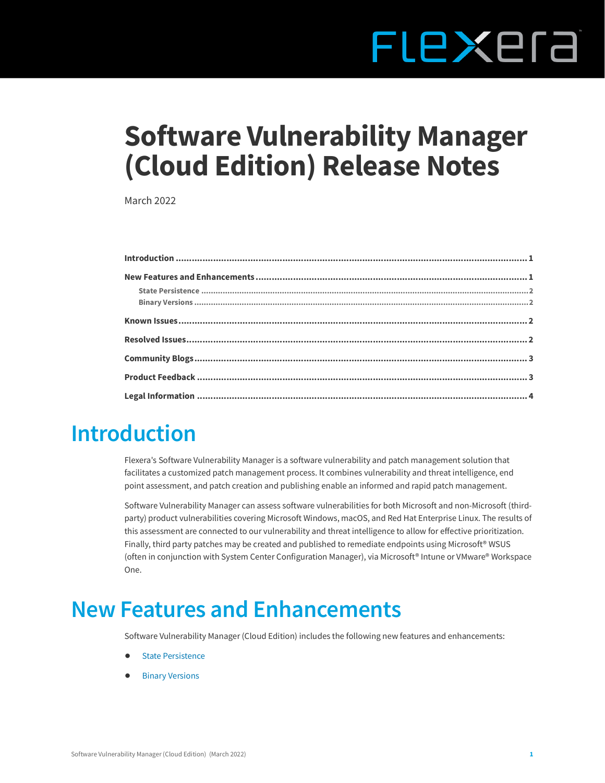# FLEXEra

# **Software Vulnerability Manager (Cloud Edition) Release Notes**

March 2022

## <span id="page-0-0"></span>**Introduction**

Flexera's Software Vulnerability Manager is a software vulnerability and patch management solution that facilitates a customized patch management process. It combines vulnerability and threat intelligence, end point assessment, and patch creation and publishing enable an informed and rapid patch management.

Software Vulnerability Manager can assess software vulnerabilities for both Microsoft and non-Microsoft (thirdparty) product vulnerabilities covering Microsoft Windows, macOS, and Red Hat Enterprise Linux. The results of this assessment are connected to our vulnerability and threat intelligence to allow for effective prioritization. Finally, third party patches may be created and published to remediate endpoints using Microsoft® WSUS (often in conjunction with System Center Configuration Manager), via Microsoft® Intune or VMware® Workspace One.

## <span id="page-0-1"></span>**New Features and Enhancements**

Software Vulnerability Manager (Cloud Edition) includes the following new features and enhancements:

- **•** [State Persistence](#page-1-0)
- **•** [Binary Versions](#page-1-1)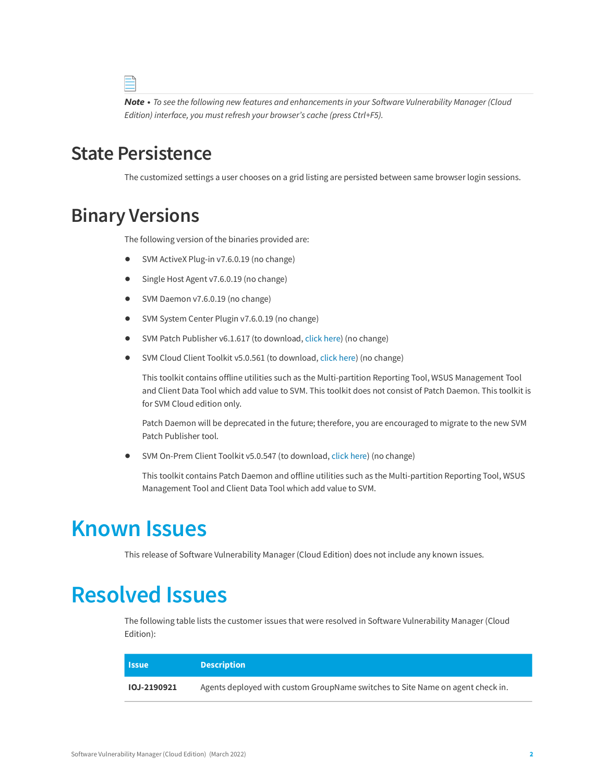*Note • To see the following new features and enhancements in your Software Vulnerability Manager (Cloud Edition) interface, you must refresh your browser's cache (press Ctrl+F5).*

#### <span id="page-1-0"></span>**State Persistence**

The customized settings a user chooses on a grid listing are persisted between same browser login sessions.

#### <span id="page-1-1"></span>**Binary Versions**

The following version of the binaries provided are:

- **•** SVM ActiveX Plug-in v7.6.0.19 (no change)
- **•** Single Host Agent v7.6.0.19 (no change)
- **•** SVM Daemon v7.6.0.19 (no change)
- **•** SVM System Center Plugin v7.6.0.19 (no change)
- **•** SVM Patch Publisher v6.1.617 (to download, [click here\)](https://resources.flexera.com/tools/SVM/SVMPatchPublisher.msi) (no change)
- **•** SVM Cloud Client Toolkit v5.0.561 (to download, [click here\)](https://resources.flexera.com/tools/SVM/SVMClientToolkit.msi) (no change)

This toolkit contains offline utilities such as the Multi-partition Reporting Tool, WSUS Management Tool and Client Data Tool which add value to SVM. This toolkit does not consist of Patch Daemon. This toolkit is for SVM Cloud edition only.

Patch Daemon will be deprecated in the future; therefore, you are encouraged to migrate to the new SVM Patch Publisher tool.

**•** SVM On-Prem Client Toolkit v5.0.547 (to download, [click here\)](https://resources.flexera.com/tools/SVM/SVMClientToolkitInstall.msi) (no change)

This toolkit contains Patch Daemon and offline utilities such as the Multi-partition Reporting Tool, WSUS Management Tool and Client Data Tool which add value to SVM.

#### <span id="page-1-2"></span>**Known Issues**

This release of Software Vulnerability Manager (Cloud Edition) does not include any known issues.

#### <span id="page-1-3"></span>**Resolved Issues**

The following table lists the customer issues that were resolved in Software Vulnerability Manager (Cloud Edition):

| <b>Issue</b>       | <b>Description</b>                                                             |
|--------------------|--------------------------------------------------------------------------------|
| <b>IOJ-2190921</b> | Agents deployed with custom GroupName switches to Site Name on agent check in. |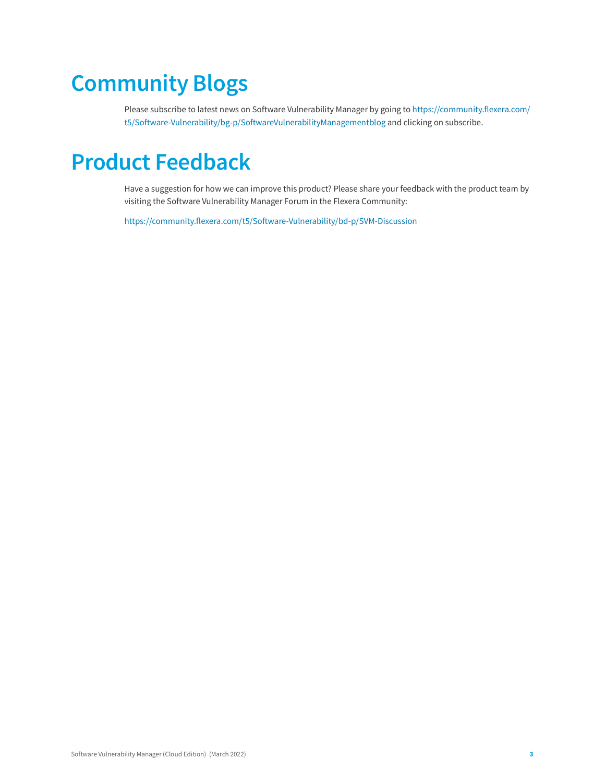# <span id="page-2-0"></span>**Community Blogs**

Please subscribe to latest news on Software Vulnerability Manager by going to [https://community.flexera.com/](https://community.flexera.com/t5/Software-Vulnerability/bg-p/SoftwareVulnerabilityManagementblog) [t5/Software-Vulnerability/bg-p/SoftwareVulnerabilityManagementblog](https://community.flexera.com/t5/Software-Vulnerability/bg-p/SoftwareVulnerabilityManagementblog) and clicking on subscribe.

## <span id="page-2-1"></span>**Product Feedback**

Have a suggestion for how we can improve this product? Please share your feedback with the product team by visiting the Software Vulnerability Manager Forum in the Flexera Community:

<https://community.flexera.com/t5/Software-Vulnerability/bd-p/SVM-Discussion>